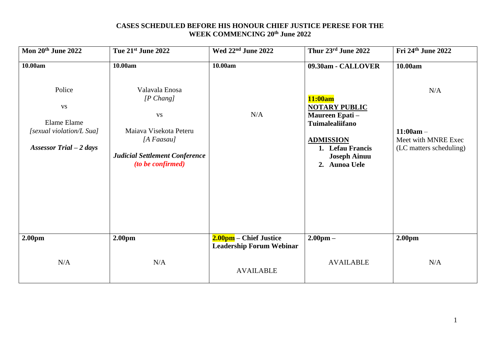### **CASES SCHEDULED BEFORE HIS HONOUR CHIEF JUSTICE PERESE FOR THE WEEK COMMENCING 20th June 2022**

| Mon 20th June 2022                                                                                    | Tue 21st June 2022                                                                                                                                                       | Wed 22 <sup>nd</sup> June 2022                            | Thur 23rd June 2022                                                                                                                                                               | Fri 24th June 2022                                                              |
|-------------------------------------------------------------------------------------------------------|--------------------------------------------------------------------------------------------------------------------------------------------------------------------------|-----------------------------------------------------------|-----------------------------------------------------------------------------------------------------------------------------------------------------------------------------------|---------------------------------------------------------------------------------|
| 10.00am<br>Police<br><b>VS</b><br>Elame Elame<br>[sexual violation/L Sua]<br>Assessor Trial $-2$ days | 10.00am<br>Valavala Enosa<br>$[P \; Chang]$<br><b>VS</b><br>Maiava Visekota Peteru<br>[ $A$ Faasau]<br><b>Judicial Settlement Conference</b><br><i>(to be confirmed)</i> | 10.00am<br>N/A                                            | 09.30am - CALLOVER<br>11:00am<br><b>NOTARY PUBLIC</b><br>Maureen Epati-<br><b>Tuimalealiifano</b><br><b>ADMISSION</b><br>1. Lefau Francis<br><b>Joseph Ainuu</b><br>2. Aunoa Uele | 10.00am<br>N/A<br>$11:00am -$<br>Meet with MNRE Exec<br>(LC matters scheduling) |
| 2.00 <sub>pm</sub>                                                                                    | 2.00 <sub>pm</sub>                                                                                                                                                       | 2.00pm – Chief Justice<br><b>Leadership Forum Webinar</b> | $2.00 \text{pm} -$                                                                                                                                                                | 2.00 <sub>pm</sub>                                                              |
| N/A                                                                                                   | N/A                                                                                                                                                                      | <b>AVAILABLE</b>                                          | <b>AVAILABLE</b>                                                                                                                                                                  | N/A                                                                             |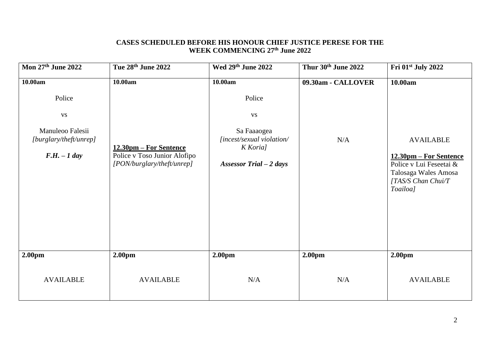### **CASES SCHEDULED BEFORE HIS HONOUR CHIEF JUSTICE PERESE FOR THE WEEK COMMENCING 27th June 2022**

| Mon 27th June 2022                                                                             | Tue 28th June 2022                                                                              | Wed 29th June 2022                                                                                                 | Thur 30th June 2022       | Fri 01st July 2022                                                                                                                         |
|------------------------------------------------------------------------------------------------|-------------------------------------------------------------------------------------------------|--------------------------------------------------------------------------------------------------------------------|---------------------------|--------------------------------------------------------------------------------------------------------------------------------------------|
| 10.00am<br>Police<br><b>VS</b><br>Manuleoo Falesii<br>[burglary/theft/unrep]<br>$F.H. - 1 day$ | 10.00am<br>12.30pm – For Sentence<br>Police v Toso Junior Alofipo<br>[PON/burglary/theft/unrep] | 10.00am<br>Police<br><b>VS</b><br>Sa Faaaogea<br>[incest/sexual violation/<br>K Koria]<br>Assessor Trial $-2$ days | 09.30am - CALLOVER<br>N/A | 10.00am<br><b>AVAILABLE</b><br>12.30pm – For Sentence<br>Police v Lui Feseetai &<br>Talosaga Wales Amosa<br>[TAS/S Chan Chui/T<br>Toailoa] |
| 2.00 <sub>pm</sub>                                                                             | 2.00 <sub>pm</sub>                                                                              | 2.00 <sub>pm</sub>                                                                                                 | 2.00 <sub>pm</sub>        | 2.00 <sub>pm</sub>                                                                                                                         |
| <b>AVAILABLE</b>                                                                               | <b>AVAILABLE</b>                                                                                | N/A                                                                                                                | N/A                       | <b>AVAILABLE</b>                                                                                                                           |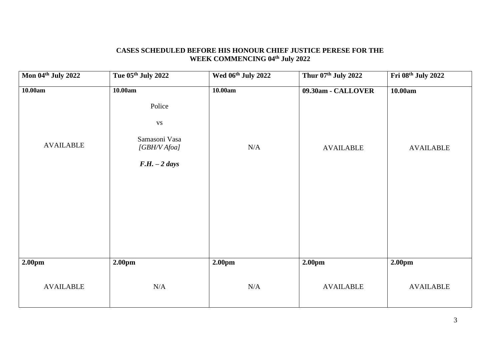# **CASES SCHEDULED BEFORE HIS HONOUR CHIEF JUSTICE PERESE FOR THE WEEK COMMENCING 04th July 2022**

| Mon 04th July 2022 | Tue 05th July 2022                                                           | Wed 06th July 2022 | Thur 07th July 2022 | Fri 08th July 2022 |
|--------------------|------------------------------------------------------------------------------|--------------------|---------------------|--------------------|
| 10.00am            | 10.00am                                                                      | 10.00am            | 09.30am - CALLOVER  | 10.00am            |
| <b>AVAILABLE</b>   | Police<br>$_{\rm VS}$<br>Samasoni Vasa<br>[GBH/V Afoa]<br>$F.H. - 2 \; days$ | $\rm N/A$          | <b>AVAILABLE</b>    | <b>AVAILABLE</b>   |
| 2.00pm             | 2.00pm                                                                       | 2.00pm             | 2.00pm              | 2.00 <sub>pm</sub> |
| <b>AVAILABLE</b>   | N/A                                                                          | N/A                | <b>AVAILABLE</b>    | <b>AVAILABLE</b>   |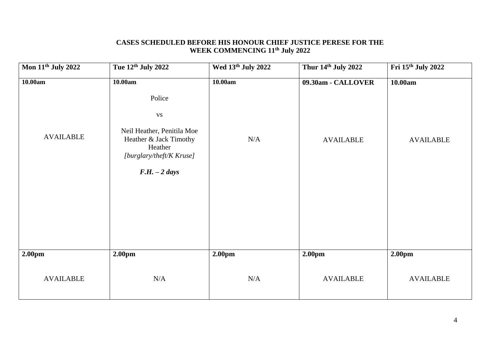# **CASES SCHEDULED BEFORE HIS HONOUR CHIEF JUSTICE PERESE FOR THE WEEK COMMENCING 11th July 2022**

| <b>Mon 11th July 2022</b> | Tue 12th July 2022                                                                                                                                    | Wed 13th July 2022 | Thur 14th July 2022 | Fri 15th July 2022 |
|---------------------------|-------------------------------------------------------------------------------------------------------------------------------------------------------|--------------------|---------------------|--------------------|
| 10.00am                   | 10.00am                                                                                                                                               | 10.00am            | 09.30am - CALLOVER  | 10.00am            |
| <b>AVAILABLE</b>          | Police<br>$\mathbf{V}\mathbf{S}$<br>Neil Heather, Penitila Moe<br>Heather & Jack Timothy<br>Heather<br>[burglary/theft/K Kruse]<br>$F.H. - 2 \; days$ | N/A                | <b>AVAILABLE</b>    | <b>AVAILABLE</b>   |
| 2.00pm                    | 2.00pm                                                                                                                                                | 2.00pm             | 2.00pm              | 2.00pm             |
| <b>AVAILABLE</b>          | N/A                                                                                                                                                   | N/A                | <b>AVAILABLE</b>    | <b>AVAILABLE</b>   |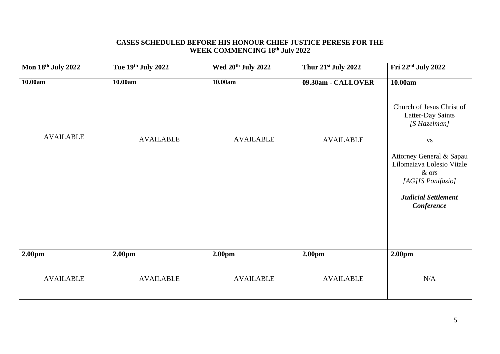### **CASES SCHEDULED BEFORE HIS HONOUR CHIEF JUSTICE PERESE FOR THE WEEK COMMENCING 18 th July 2022**

| Mon 18th July 2022                     | Tue 19th July 2022                     | Wed 20 <sup>th</sup> July 2022 | Thur 21st July 2022                    | Fri 22nd July 2022                                                                                                                           |
|----------------------------------------|----------------------------------------|--------------------------------|----------------------------------------|----------------------------------------------------------------------------------------------------------------------------------------------|
| 10.00am                                | 10.00am                                | 10.00am                        | 09.30am - CALLOVER                     | 10.00am<br>Church of Jesus Christ of<br>Latter-Day Saints<br>[S Hazelman]                                                                    |
| <b>AVAILABLE</b>                       | <b>AVAILABLE</b>                       | <b>AVAILABLE</b>               | <b>AVAILABLE</b>                       | <b>VS</b><br>Attorney General & Sapau<br>Lilomaiava Lolesio Vitale<br>& ors<br>[AG][S Ponifasio]<br><b>Judicial Settlement</b><br>Conference |
| 2.00 <sub>pm</sub><br><b>AVAILABLE</b> | 2.00 <sub>pm</sub><br><b>AVAILABLE</b> | 2.00pm<br><b>AVAILABLE</b>     | 2.00 <sub>pm</sub><br><b>AVAILABLE</b> | 2.00 <sub>pm</sub><br>N/A                                                                                                                    |